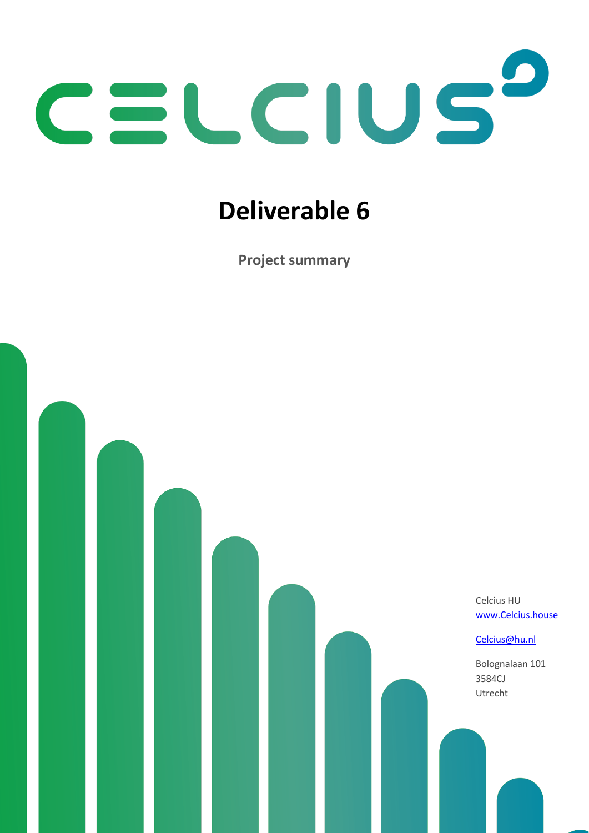

# **Deliverable 6**

**Project summary**

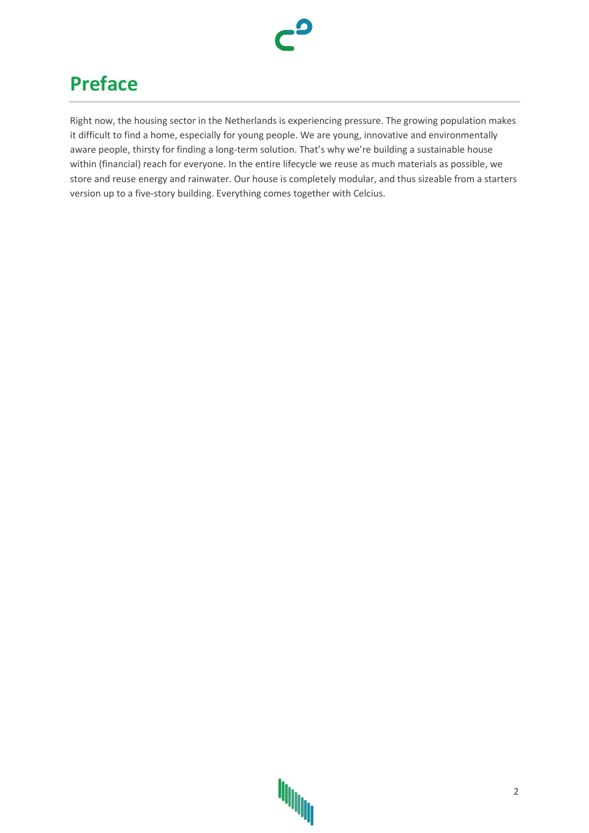

### **Preface**

Right now, the housing sector in the Netherlands is experiencing pressure. The growing population makes it difficult to find a home, especially for young people. We are young, innovative and environmentally aware people, thirsty for finding a long-term solution. That's why we're building a sustainable house within (financial) reach for everyone. In the entire lifecycle we reuse as much materials as possible, we store and reuse energy and rainwater. Our house is completely modular, and thus sizeable from a starters version up to a five-story building. Everything comes together with Celcius.

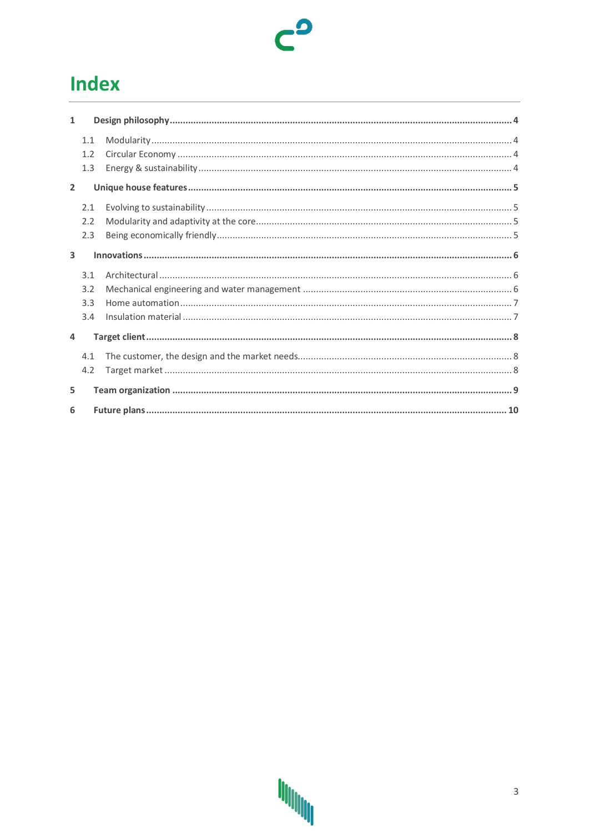### **Index**

| $\mathbf{1}$   |     |  |  |  |
|----------------|-----|--|--|--|
|                | 1.1 |  |  |  |
|                | 1.2 |  |  |  |
|                | 1.3 |  |  |  |
| $\overline{2}$ |     |  |  |  |
|                | 2.1 |  |  |  |
|                | 2.2 |  |  |  |
|                | 2.3 |  |  |  |
| 3              |     |  |  |  |
|                | 3.1 |  |  |  |
|                | 3.2 |  |  |  |
|                | 3.3 |  |  |  |
|                | 3.4 |  |  |  |
| 4              |     |  |  |  |
|                | 4.1 |  |  |  |
|                | 4.2 |  |  |  |
| 5              |     |  |  |  |
|                |     |  |  |  |
| 6              |     |  |  |  |

 $c^{\mathbf{0}}$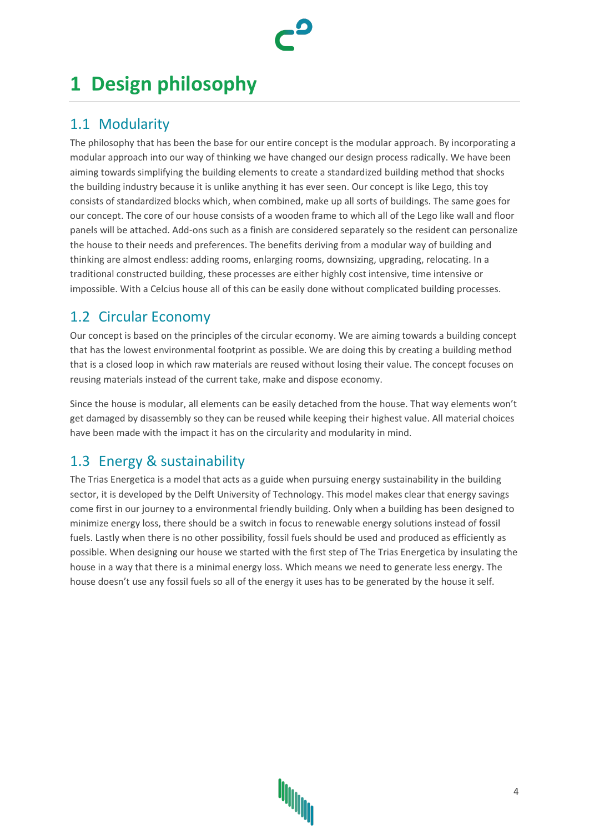### <span id="page-3-0"></span>**1 Design philosophy**

### <span id="page-3-1"></span>1.1 Modularity

The philosophy that has been the base for our entire concept is the modular approach. By incorporating a modular approach into our way of thinking we have changed our design process radically. We have been aiming towards simplifying the building elements to create a standardized building method that shocks the building industry because it is unlike anything it has ever seen. Our concept is like Lego, this toy consists of standardized blocks which, when combined, make up all sorts of buildings. The same goes for our concept. The core of our house consists of a wooden frame to which all of the Lego like wall and floor panels will be attached. Add-ons such as a finish are considered separately so the resident can personalize the house to their needs and preferences. The benefits deriving from a modular way of building and thinking are almost endless: adding rooms, enlarging rooms, downsizing, upgrading, relocating. In a traditional constructed building, these processes are either highly cost intensive, time intensive or impossible. With a Celcius house all of this can be easily done without complicated building processes.

### <span id="page-3-2"></span>1.2 Circular Economy

Our concept is based on the principles of the circular economy. We are aiming towards a building concept that has the lowest environmental footprint as possible. We are doing this by creating a building method that is a closed loop in which raw materials are reused without losing their value. The concept focuses on reusing materials instead of the current take, make and dispose economy.

Since the house is modular, all elements can be easily detached from the house. That way elements won't get damaged by disassembly so they can be reused while keeping their highest value. All material choices have been made with the impact it has on the circularity and modularity in mind.

### <span id="page-3-3"></span>1.3 Energy & sustainability

The Trias Energetica is a model that acts as a guide when pursuing energy sustainability in the building sector, it is developed by the Delft University of Technology. This model makes clear that energy savings come first in our journey to a environmental friendly building. Only when a building has been designed to minimize energy loss, there should be a switch in focus to renewable energy solutions instead of fossil fuels. Lastly when there is no other possibility, fossil fuels should be used and produced as efficiently as possible. When designing our house we started with the first step of The Trias Energetica by insulating the house in a way that there is a minimal energy loss. Which means we need to generate less energy. The house doesn't use any fossil fuels so all of the energy it uses has to be generated by the house it self.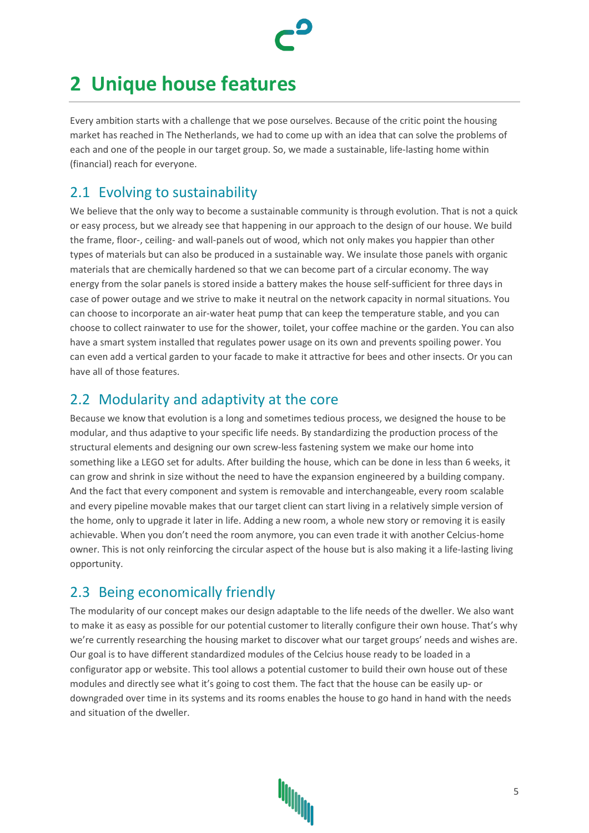## <span id="page-4-0"></span>**2 Unique house features**

Every ambition starts with a challenge that we pose ourselves. Because of the critic point the housing market has reached in The Netherlands, we had to come up with an idea that can solve the problems of each and one of the people in our target group. So, we made a sustainable, life-lasting home within (financial) reach for everyone.

### <span id="page-4-1"></span>2.1 Evolving to sustainability

We believe that the only way to become a sustainable community is through evolution. That is not a quick or easy process, but we already see that happening in our approach to the design of our house. We build the frame, floor-, ceiling- and wall-panels out of wood, which not only makes you happier than other types of materials but can also be produced in a sustainable way. We insulate those panels with organic materials that are chemically hardened so that we can become part of a circular economy. The way energy from the solar panels is stored inside a battery makes the house self-sufficient for three days in case of power outage and we strive to make it neutral on the network capacity in normal situations. You can choose to incorporate an air-water heat pump that can keep the temperature stable, and you can choose to collect rainwater to use for the shower, toilet, your coffee machine or the garden. You can also have a smart system installed that regulates power usage on its own and prevents spoiling power. You can even add a vertical garden to your facade to make it attractive for bees and other insects. Or you can have all of those features.

#### <span id="page-4-2"></span>2.2 Modularity and adaptivity at the core

Because we know that evolution is a long and sometimes tedious process, we designed the house to be modular, and thus adaptive to your specific life needs. By standardizing the production process of the structural elements and designing our own screw-less fastening system we make our home into something like a LEGO set for adults. After building the house, which can be done in less than 6 weeks, it can grow and shrink in size without the need to have the expansion engineered by a building company. And the fact that every component and system is removable and interchangeable, every room scalable and every pipeline movable makes that our target client can start living in a relatively simple version of the home, only to upgrade it later in life. Adding a new room, a whole new story or removing it is easily achievable. When you don't need the room anymore, you can even trade it with another Celcius-home owner. This is not only reinforcing the circular aspect of the house but is also making it a life-lasting living opportunity.

### <span id="page-4-3"></span>2.3 Being economically friendly

The modularity of our concept makes our design adaptable to the life needs of the dweller. We also want to make it as easy as possible for our potential customer to literally configure their own house. That's why we're currently researching the housing market to discover what our target groups' needs and wishes are. Our goal is to have different standardized modules of the Celcius house ready to be loaded in a configurator app or website. This tool allows a potential customer to build their own house out of these modules and directly see what it's going to cost them. The fact that the house can be easily up- or downgraded over time in its systems and its rooms enables the house to go hand in hand with the needs and situation of the dweller.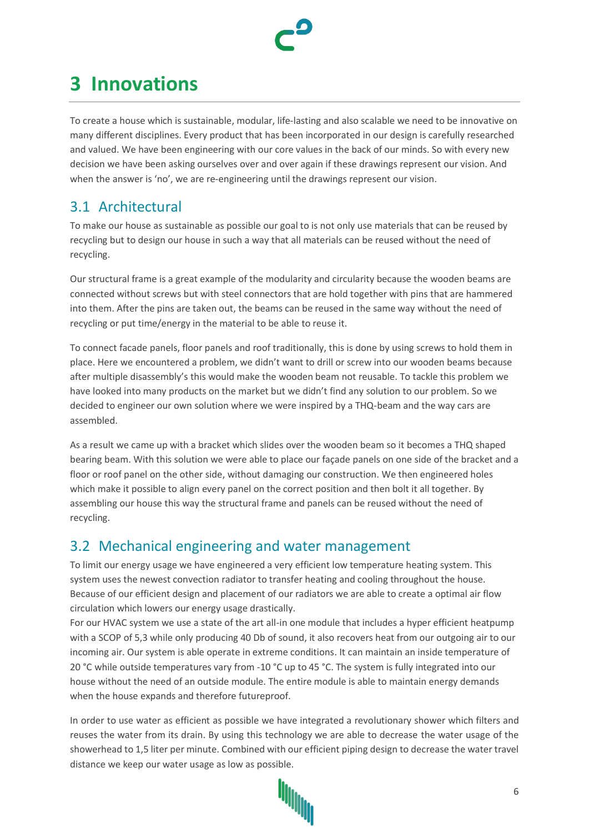

### <span id="page-5-0"></span>**3 Innovations**

To create a house which is sustainable, modular, life-lasting and also scalable we need to be innovative on many different disciplines. Every product that has been incorporated in our design is carefully researched and valued. We have been engineering with our core values in the back of our minds. So with every new decision we have been asking ourselves over and over again if these drawings represent our vision. And when the answer is 'no', we are re-engineering until the drawings represent our vision.

### <span id="page-5-1"></span>3.1 Architectural

To make our house as sustainable as possible our goal to is not only use materials that can be reused by recycling but to design our house in such a way that all materials can be reused without the need of recycling.

Our structural frame is a great example of the modularity and circularity because the wooden beams are connected without screws but with steel connectors that are hold together with pins that are hammered into them. After the pins are taken out, the beams can be reused in the same way without the need of recycling or put time/energy in the material to be able to reuse it.

To connect facade panels, floor panels and roof traditionally, this is done by using screws to hold them in place. Here we encountered a problem, we didn't want to drill or screw into our wooden beams because after multiple disassembly's this would make the wooden beam not reusable. To tackle this problem we have looked into many products on the market but we didn't find any solution to our problem. So we decided to engineer our own solution where we were inspired by a THQ-beam and the way cars are assembled.

As a result we came up with a bracket which slides over the wooden beam so it becomes a THQ shaped bearing beam. With this solution we were able to place our façade panels on one side of the bracket and a floor or roof panel on the other side, without damaging our construction. We then engineered holes which make it possible to align every panel on the correct position and then bolt it all together. By assembling our house this way the structural frame and panels can be reused without the need of recycling.

### <span id="page-5-2"></span>3.2 Mechanical engineering and water management

To limit our energy usage we have engineered a very efficient low temperature heating system. This system uses the newest convection radiator to transfer heating and cooling throughout the house. Because of our efficient design and placement of our radiators we are able to create a optimal air flow circulation which lowers our energy usage drastically.

For our HVAC system we use a state of the art all-in one module that includes a hyper efficient heatpump with a SCOP of 5,3 while only producing 40 Db of sound, it also recovers heat from our outgoing air to our incoming air. Our system is able operate in extreme conditions. It can maintain an inside temperature of 20 °C while outside temperatures vary from -10 °C up to 45 °C. The system is fully integrated into our house without the need of an outside module. The entire module is able to maintain energy demands when the house expands and therefore futureproof.

In order to use water as efficient as possible we have integrated a revolutionary shower which filters and reuses the water from its drain. By using this technology we are able to decrease the water usage of the showerhead to 1,5 liter per minute. Combined with our efficient piping design to decrease the water travel distance we keep our water usage as low as possible.

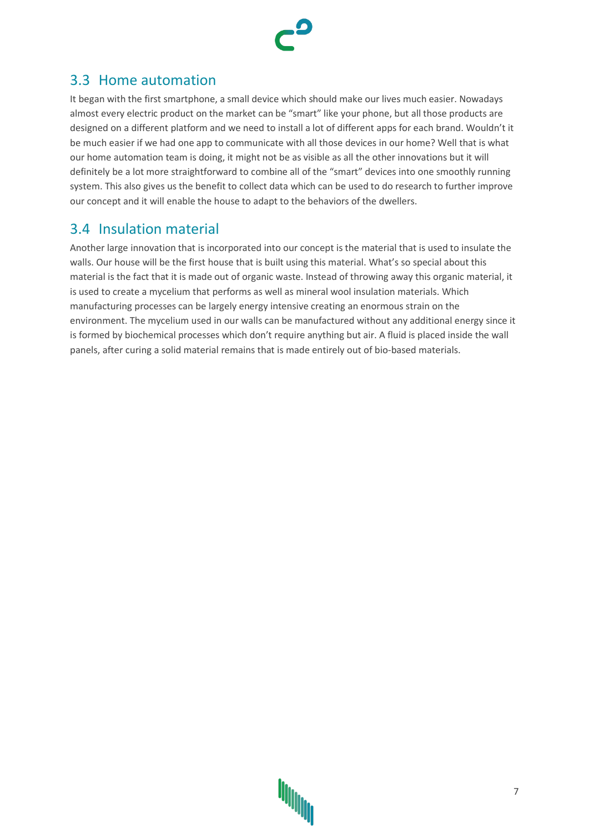

### <span id="page-6-0"></span>3.3 Home automation

It began with the first smartphone, a small device which should make our lives much easier. Nowadays almost every electric product on the market can be "smart" like your phone, but all those products are designed on a different platform and we need to install a lot of different apps for each brand. Wouldn't it be much easier if we had one app to communicate with all those devices in our home? Well that is what our home automation team is doing, it might not be as visible as all the other innovations but it will definitely be a lot more straightforward to combine all of the "smart" devices into one smoothly running system. This also gives us the benefit to collect data which can be used to do research to further improve our concept and it will enable the house to adapt to the behaviors of the dwellers.

#### <span id="page-6-1"></span>3.4 Insulation material

Another large innovation that is incorporated into our concept is the material that is used to insulate the walls. Our house will be the first house that is built using this material. What's so special about this material is the fact that it is made out of organic waste. Instead of throwing away this organic material, it is used to create a mycelium that performs as well as mineral wool insulation materials. Which manufacturing processes can be largely energy intensive creating an enormous strain on the environment. The mycelium used in our walls can be manufactured without any additional energy since it is formed by biochemical processes which don't require anything but air. A fluid is placed inside the wall panels, after curing a solid material remains that is made entirely out of bio-based materials.

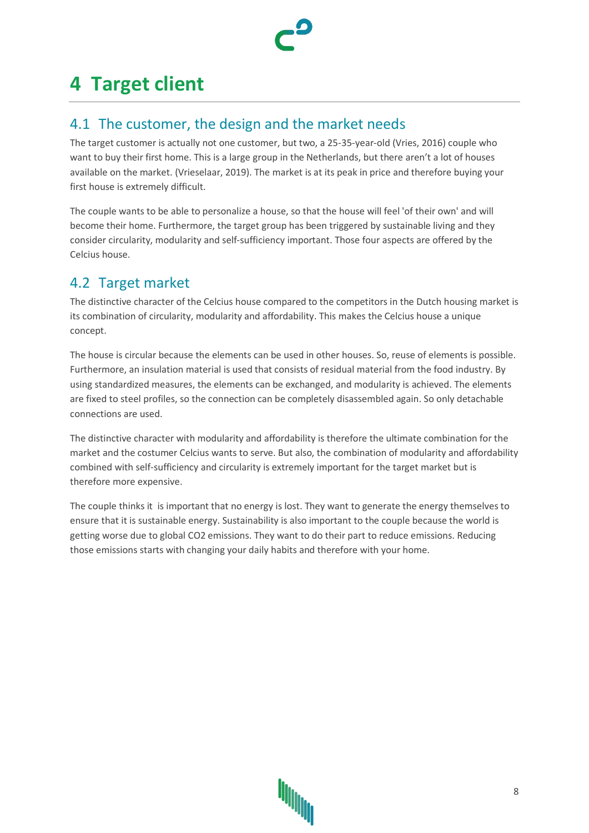## <span id="page-7-0"></span>**4 Target client**

#### <span id="page-7-1"></span>4.1 The customer, the design and the market needs

The target customer is actually not one customer, but two, a 25-35-year-old (Vries, 2016) couple who want to buy their first home. This is a large group in the Netherlands, but there aren't a lot of houses available on the market. (Vrieselaar, 2019). The market is at its peak in price and therefore buying your first house is extremely difficult.

The couple wants to be able to personalize a house, so that the house will feel 'of their own' and will become their home. Furthermore, the target group has been triggered by sustainable living and they consider circularity, modularity and self-sufficiency important. Those four aspects are offered by the Celcius house.

### <span id="page-7-2"></span>4.2 Target market

The distinctive character of the Celcius house compared to the competitors in the Dutch housing market is its combination of circularity, modularity and affordability. This makes the Celcius house a unique concept.

The house is circular because the elements can be used in other houses. So, reuse of elements is possible. Furthermore, an insulation material is used that consists of residual material from the food industry. By using standardized measures, the elements can be exchanged, and modularity is achieved. The elements are fixed to steel profiles, so the connection can be completely disassembled again. So only detachable connections are used.

The distinctive character with modularity and affordability is therefore the ultimate combination for the market and the costumer Celcius wants to serve. But also, the combination of modularity and affordability combined with self-sufficiency and circularity is extremely important for the target market but is therefore more expensive.

The couple thinks it is important that no energy is lost. They want to generate the energy themselves to ensure that it is sustainable energy. Sustainability is also important to the couple because the world is getting worse due to global CO2 emissions. They want to do their part to reduce emissions. Reducing those emissions starts with changing your daily habits and therefore with your home.

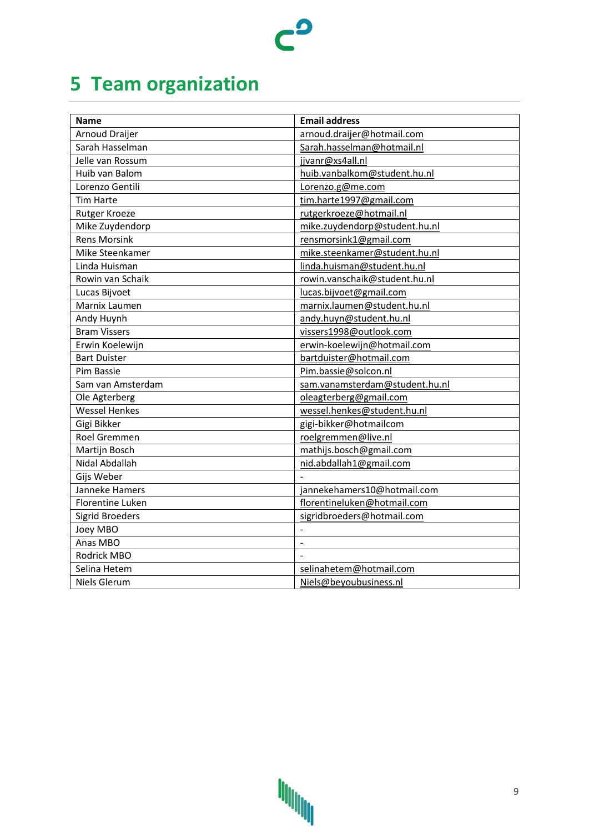# <span id="page-8-0"></span>**5 Team organization**

| <b>Name</b>             | <b>Email address</b>           |
|-------------------------|--------------------------------|
| <b>Arnoud Draijer</b>   | arnoud.draijer@hotmail.com     |
| Sarah Hasselman         | Sarah.hasselman@hotmail.nl     |
| Jelle van Rossum        | jjvanr@xs4all.nl               |
| Huib van Balom          | huib.vanbalkom@student.hu.nl   |
| Lorenzo Gentili         | Lorenzo.g@me.com               |
| <b>Tim Harte</b>        | tim.harte1997@gmail.com        |
| Rutger Kroeze           | rutgerkroeze@hotmail.nl        |
| Mike Zuydendorp         | mike.zuydendorp@student.hu.nl  |
| <b>Rens Morsink</b>     | rensmorsink1@gmail.com         |
| Mike Steenkamer         | mike.steenkamer@student.hu.nl  |
| Linda Huisman           | linda.huisman@student.hu.nl    |
| Rowin van Schaik        | rowin.vanschaik@student.hu.nl  |
| Lucas Bijvoet           | lucas.bijvoet@gmail.com        |
| Marnix Laumen           | marnix.laumen@student.hu.nl    |
| Andy Huynh              | andy.huyn@student.hu.nl        |
| <b>Bram Vissers</b>     | vissers1998@outlook.com        |
| Erwin Koelewijn         | erwin-koelewijn@hotmail.com    |
| <b>Bart Duister</b>     | bartduister@hotmail.com        |
| Pim Bassie              | Pim.bassie@solcon.nl           |
| Sam van Amsterdam       | sam.vanamsterdam@student.hu.nl |
| Ole Agterberg           | oleagterberg@gmail.com         |
| <b>Wessel Henkes</b>    | wessel.henkes@student.hu.nl    |
| Gigi Bikker             | gigi-bikker@hotmailcom         |
| Roel Gremmen            | roelgremmen@live.nl            |
| Martijn Bosch           | mathijs.bosch@gmail.com        |
| Nidal Abdallah          | nid.abdallah1@gmail.com        |
| Gijs Weber              |                                |
| Janneke Hamers          | jannekehamers10@hotmail.com    |
| <b>Florentine Luken</b> | florentineluken@hotmail.com    |
| <b>Sigrid Broeders</b>  | sigridbroeders@hotmail.com     |
| Joey MBO                | $\overline{a}$                 |
| Anas MBO                |                                |
| Rodrick MBO             |                                |
| Selina Hetem            | selinahetem@hotmail.com        |
| Niels Glerum            | Niels@beyoubusiness.nl         |

 $c^{\mathbf{0}}$